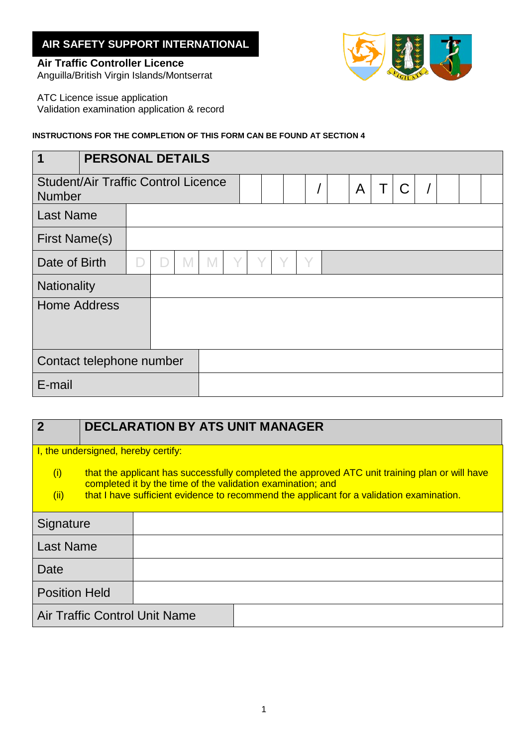## **AIR SAFETY SUPPORT INTERNATIONAL**

## **Air Traffic Controller Licence**



Anguilla/British Virgin Islands/Montserrat

ATC Licence issue application Validation examination application & record

## **INSTRUCTIONS FOR THE COMPLETION OF THIS FORM CAN BE FOUND AT SECTION 4**

| $\overline{\mathbf{1}}$                                     |  | <b>PERSONAL DETAILS</b> |  |   |  |  |  |   |   |             |  |  |  |  |
|-------------------------------------------------------------|--|-------------------------|--|---|--|--|--|---|---|-------------|--|--|--|--|
| <b>Student/Air Traffic Control Licence</b><br><b>Number</b> |  |                         |  |   |  |  |  | A | Τ | $\mathsf C$ |  |  |  |  |
| <b>Last Name</b>                                            |  |                         |  |   |  |  |  |   |   |             |  |  |  |  |
| <b>First Name(s)</b>                                        |  |                         |  |   |  |  |  |   |   |             |  |  |  |  |
| Date of Birth                                               |  |                         |  | N |  |  |  |   | Υ |             |  |  |  |  |
| Nationality                                                 |  |                         |  |   |  |  |  |   |   |             |  |  |  |  |
| <b>Home Address</b>                                         |  |                         |  |   |  |  |  |   |   |             |  |  |  |  |
| Contact telephone number                                    |  |                         |  |   |  |  |  |   |   |             |  |  |  |  |
| E-mail                                                      |  |                         |  |   |  |  |  |   |   |             |  |  |  |  |

## **2 DECLARATION BY ATS UNIT MANAGER** I, the undersigned, hereby certify: (i) that the applicant has successfully completed the approved ATC unit training plan or will have completed it by the time of the validation examination; and  $(i)$  that I have sufficient evidence to recommend the applicant for a validation examination.

| Signature                            |  |
|--------------------------------------|--|
| <b>Last Name</b>                     |  |
| <b>Date</b>                          |  |
| <b>Position Held</b>                 |  |
| <b>Air Traffic Control Unit Name</b> |  |